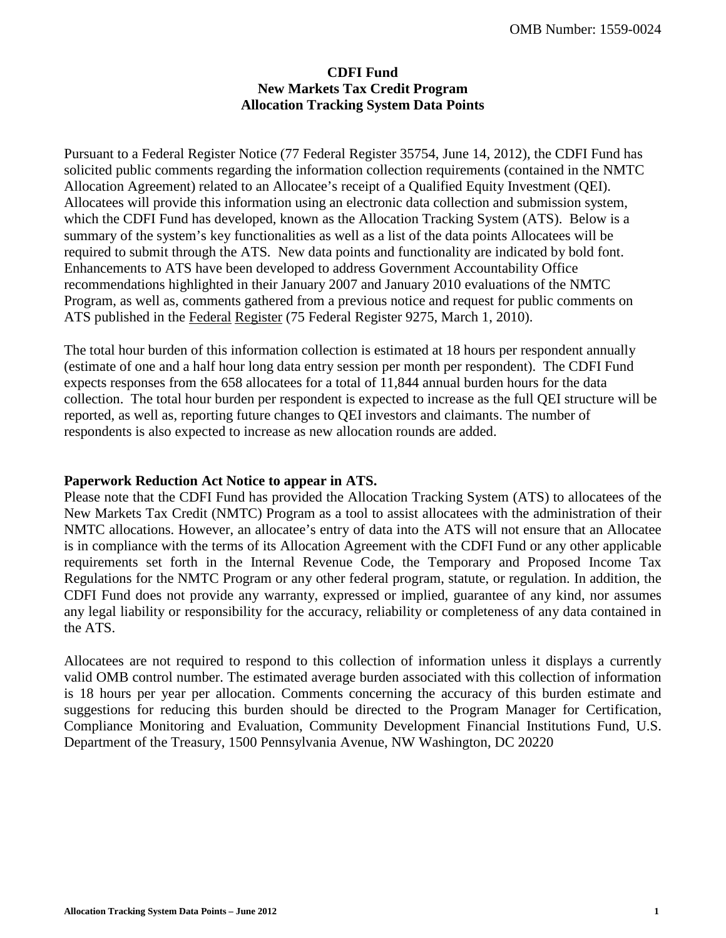### **CDFI Fund New Markets Tax Credit Program Allocation Tracking System Data Points**

Pursuant to a Federal Register Notice (77 Federal Register 35754, June 14, 2012), the CDFI Fund has solicited public comments regarding the information collection requirements (contained in the NMTC Allocation Agreement) related to an Allocatee's receipt of a Qualified Equity Investment (QEI). Allocatees will provide this information using an electronic data collection and submission system, which the CDFI Fund has developed, known as the Allocation Tracking System (ATS). Below is a summary of the system's key functionalities as well as a list of the data points Allocatees will be required to submit through the ATS*.* New data points and functionality are indicated by bold font. Enhancements to ATS have been developed to address Government Accountability Office recommendations highlighted in their January 2007 and January 2010 evaluations of the NMTC Program, as well as, comments gathered from a previous notice and request for public comments on ATS published in the Federal Register (75 Federal Register 9275, March 1, 2010).

The total hour burden of this information collection is estimated at 18 hours per respondent annually (estimate of one and a half hour long data entry session per month per respondent). The CDFI Fund expects responses from the 658 allocatees for a total of 11,844 annual burden hours for the data collection. The total hour burden per respondent is expected to increase as the full QEI structure will be reported, as well as, reporting future changes to QEI investors and claimants. The number of respondents is also expected to increase as new allocation rounds are added.

### **Paperwork Reduction Act Notice to appear in ATS.**

Please note that the CDFI Fund has provided the Allocation Tracking System (ATS) to allocatees of the New Markets Tax Credit (NMTC) Program as a tool to assist allocatees with the administration of their NMTC allocations. However, an allocatee's entry of data into the ATS will not ensure that an Allocatee is in compliance with the terms of its Allocation Agreement with the CDFI Fund or any other applicable requirements set forth in the Internal Revenue Code, the Temporary and Proposed Income Tax Regulations for the NMTC Program or any other federal program, statute, or regulation. In addition, the CDFI Fund does not provide any warranty, expressed or implied, guarantee of any kind, nor assumes any legal liability or responsibility for the accuracy, reliability or completeness of any data contained in the ATS.

Allocatees are not required to respond to this collection of information unless it displays a currently valid OMB control number. The estimated average burden associated with this collection of information is 18 hours per year per allocation. Comments concerning the accuracy of this burden estimate and suggestions for reducing this burden should be directed to the Program Manager for Certification, Compliance Monitoring and Evaluation, Community Development Financial Institutions Fund, U.S. Department of the Treasury, 1500 Pennsylvania Avenue, NW Washington, DC 20220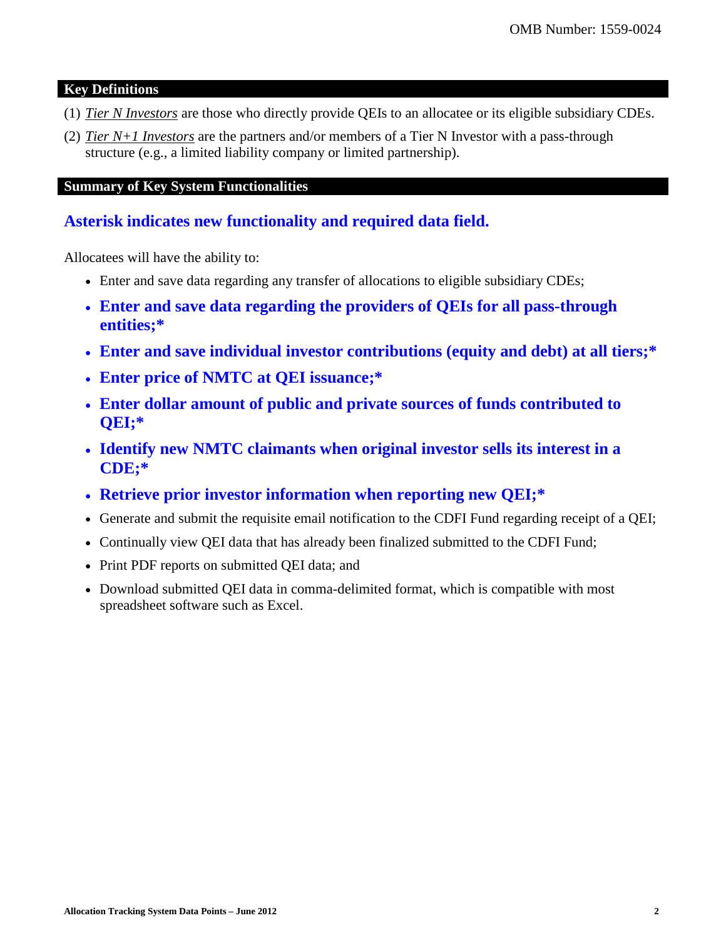### **Key Definitions**

- (1) *Tier N Investors* are those who directly provide QEIs to an allocatee or its eligible subsidiary CDEs.
- (2) *Tier N+1 Investors* are the partners and/or members of a Tier N Investor with a pass-through structure (e.g., a limited liability company or limited partnership).

### **Summary of Key System Functionalities**

# **Asterisk indicates new functionality and required data field.**

Allocatees will have the ability to:

- Enter and save data regarding any transfer of allocations to eligible subsidiary CDEs;
- **Enter and save data regarding the providers of QEIs for all pass-through entities;\***
- **Enter and save individual investor contributions (equity and debt) at all tiers;\***
- **Enter price of NMTC at QEI issuance;\***
- **Enter dollar amount of public and private sources of funds contributed to QEI;\***
- **Identify new NMTC claimants when original investor sells its interest in a CDE;\***
- **Retrieve prior investor information when reporting new QEI;\***
- Generate and submit the requisite email notification to the CDFI Fund regarding receipt of a QEI;
- Continually view QEI data that has already been finalized submitted to the CDFI Fund;
- Print PDF reports on submitted QEI data; and
- Download submitted QEI data in comma-delimited format, which is compatible with most spreadsheet software such as Excel.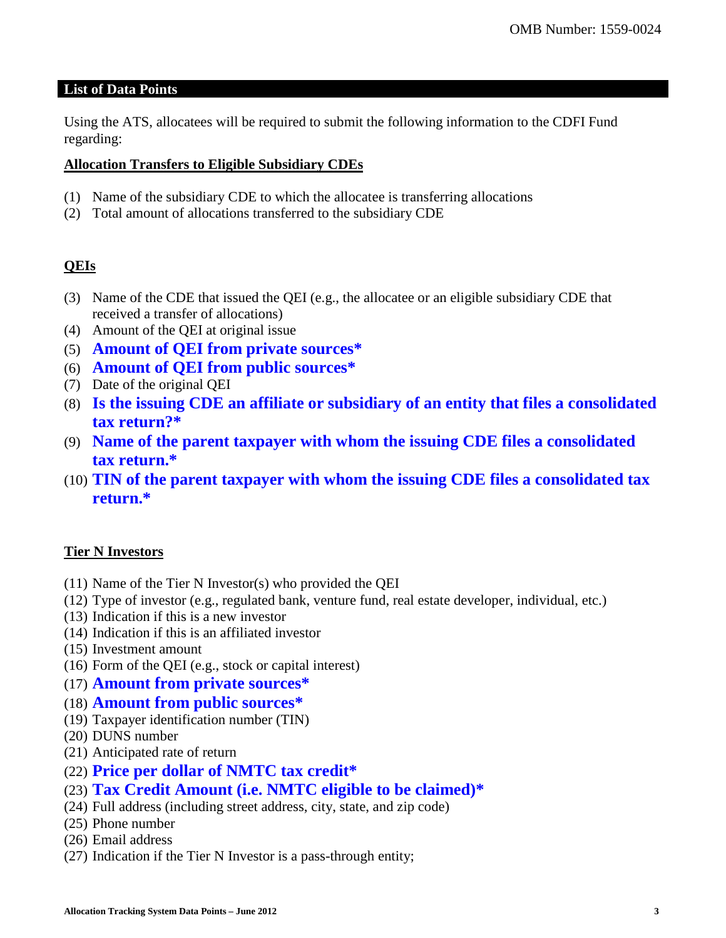### **List of Data Points**

Using the ATS, allocatees will be required to submit the following information to the CDFI Fund regarding:

### **Allocation Transfers to Eligible Subsidiary CDEs**

- (1) Name of the subsidiary CDE to which the allocatee is transferring allocations
- (2) Total amount of allocations transferred to the subsidiary CDE

# **QEIs**

- (3) Name of the CDE that issued the QEI (e.g., the allocatee or an eligible subsidiary CDE that received a transfer of allocations)
- (4) Amount of the QEI at original issue
- (5) **Amount of QEI from private sources\***
- (6) **Amount of QEI from public sources\***
- (7) Date of the original QEI
- (8) **Is the issuing CDE an affiliate or subsidiary of an entity that files a consolidated tax return?\***
- (9) **Name of the parent taxpayer with whom the issuing CDE files a consolidated tax return.\***
- (10) **TIN of the parent taxpayer with whom the issuing CDE files a consolidated tax return.\***

## **Tier N Investors**

- (11) Name of the Tier N Investor(s) who provided the QEI
- (12) Type of investor (e.g., regulated bank, venture fund, real estate developer, individual, etc.)
- (13) Indication if this is a new investor
- (14) Indication if this is an affiliated investor
- (15) Investment amount
- (16) Form of the QEI (e.g., stock or capital interest)
- (17) **Amount from private sources\***
- (18) **Amount from public sources\***
- (19) Taxpayer identification number (TIN)
- (20) DUNS number
- (21) Anticipated rate of return
- (22) **Price per dollar of NMTC tax credit\***
- (23) **Tax Credit Amount (i.e. NMTC eligible to be claimed)\***
- (24) Full address (including street address, city, state, and zip code)
- (25) Phone number
- (26) Email address
- (27) Indication if the Tier N Investor is a pass-through entity;